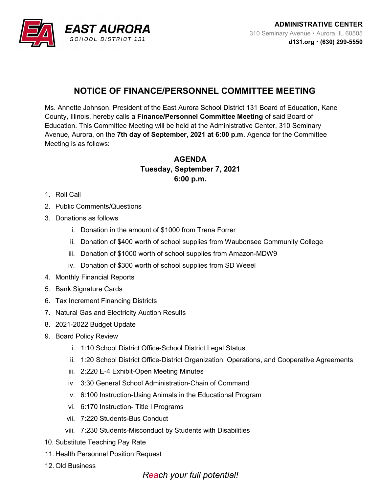

## NOTICE OF FINANCE/PERSONNEL COMMITTEE MEETING

Ms. Annette Johnson, President of the East Aurora School District 131 Board of Education, Kane County, Illinois, hereby calls a Finance/Personnel Committee Meeting of said Board of Education. This Committee Meeting will be held at the Administrative Center, 310 Seminary Avenue, Aurora, on the 7th day of September, 2021 at 6:00 p.m. Agenda for the Committee Meeting is as follows:

## AGENDA Tuesday, September 7, 2021 6:00 p.m.

- 1. Roll Call
- 2. Public Comments/Questions
- 3. Donations as follows
	- i. Donation in the amount of \$1000 from Trena Forrer
	- ii. Donation of \$400 worth of school supplies from Waubonsee Community College
	- iii. Donation of \$1000 worth of school supplies from Amazon-MDW9
	- iv. Donation of \$300 worth of school supplies from SD Weeel
- 4. Monthly Financial Reports
- 5. Bank Signature Cards
- 6. Tax Increment Financing Districts
- 7. Natural Gas and Electricity Auction Results
- 8. 2021-2022 Budget Update
- 9. Board Policy Review
	- i. 1:10 School District Office-School District Legal Status
	- ii. 1:20 School District Office-District Organization, Operations, and Cooperative Agreements
	- iii. 2:220 E-4 Exhibit-Open Meeting Minutes
	- iv. 3:30 General School Administration-Chain of Command
	- v. 6:100 Instruction-Using Animals in the Educational Program
	- vi. 6:170 Instruction- Title I Programs
	- vii. 7:220 Students-Bus Conduct
	- viii. 7:230 Students-Misconduct by Students with Disabilities
- 10. Substitute Teaching Pay Rate
- 11. Health Personnel Position Request
- 12. Old Business